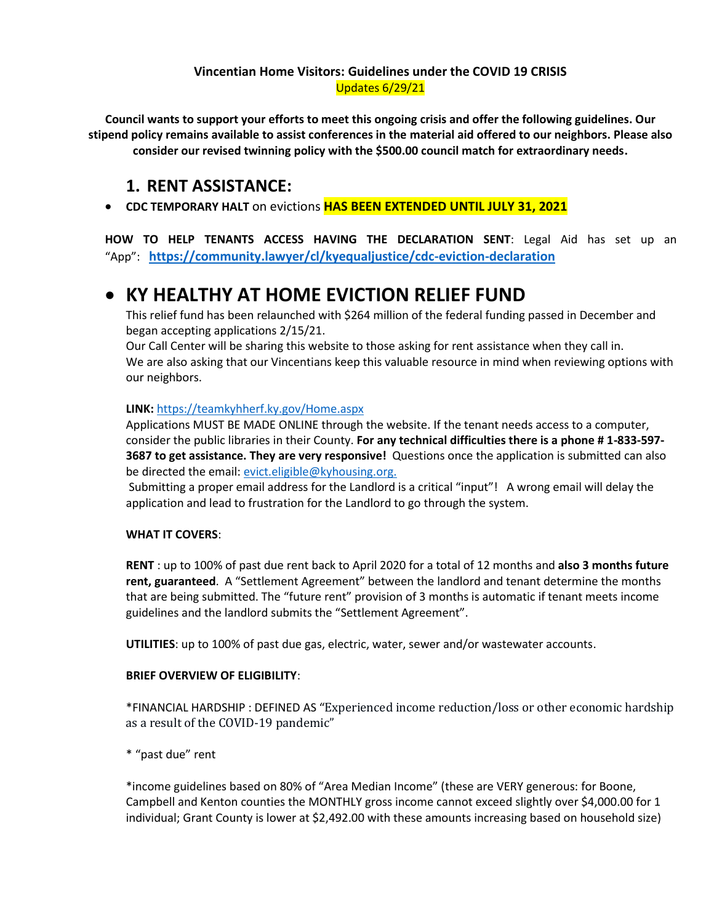## **Vincentian Home Visitors: Guidelines under the COVID 19 CRISIS** Updates 6/29/21

**Council wants to support your efforts to meet this ongoing crisis and offer the following guidelines. Our stipend policy remains available to assist conferences in the material aid offered to our neighbors. Please also consider our revised twinning policy with the \$500.00 council match for extraordinary needs.**

## **1. RENT ASSISTANCE:**

**CDC TEMPORARY HALT** on evictions **HAS BEEN EXTENDED UNTIL JULY 31, 2021**

**HOW TO HELP TENANTS ACCESS HAVING THE DECLARATION SENT**: Legal Aid has set up an "App": **<https://community.lawyer/cl/kyequaljustice/cdc-eviction-declaration>**

# **KY HEALTHY AT HOME EVICTION RELIEF FUND**

This relief fund has been relaunched with \$264 million of the federal funding passed in December and began accepting applications 2/15/21.

Our Call Center will be sharing this website to those asking for rent assistance when they call in. We are also asking that our Vincentians keep this valuable resource in mind when reviewing options with our neighbors.

## **LINK:** <https://teamkyhherf.ky.gov/Home.aspx>

Applications MUST BE MADE ONLINE through the website. If the tenant needs access to a computer, consider the public libraries in their County. **For any technical difficulties there is a phone # 1-833-597- 3687 to get assistance. They are very responsive!** Questions once the application is submitted can also be directed the email: [evict.eligible@kyhousing.org.](mailto:evict.eligible@kyhousing.org)

Submitting a proper email address for the Landlord is a critical "input"! A wrong email will delay the application and lead to frustration for the Landlord to go through the system.

## **WHAT IT COVERS**:

**RENT** : up to 100% of past due rent back to April 2020 for a total of 12 months and **also 3 months future rent, guaranteed**. A "Settlement Agreement" between the landlord and tenant determine the months that are being submitted. The "future rent" provision of 3 months is automatic if tenant meets income guidelines and the landlord submits the "Settlement Agreement".

**UTILITIES**: up to 100% of past due gas, electric, water, sewer and/or wastewater accounts.

### **BRIEF OVERVIEW OF ELIGIBILITY**:

\*FINANCIAL HARDSHIP : DEFINED AS "Experienced income reduction/loss or other economic hardship as a result of the COVID-19 pandemic"

\* "past due" rent

\*income guidelines based on 80% of "Area Median Income" (these are VERY generous: for Boone, Campbell and Kenton counties the MONTHLY gross income cannot exceed slightly over \$4,000.00 for 1 individual; Grant County is lower at \$2,492.00 with these amounts increasing based on household size)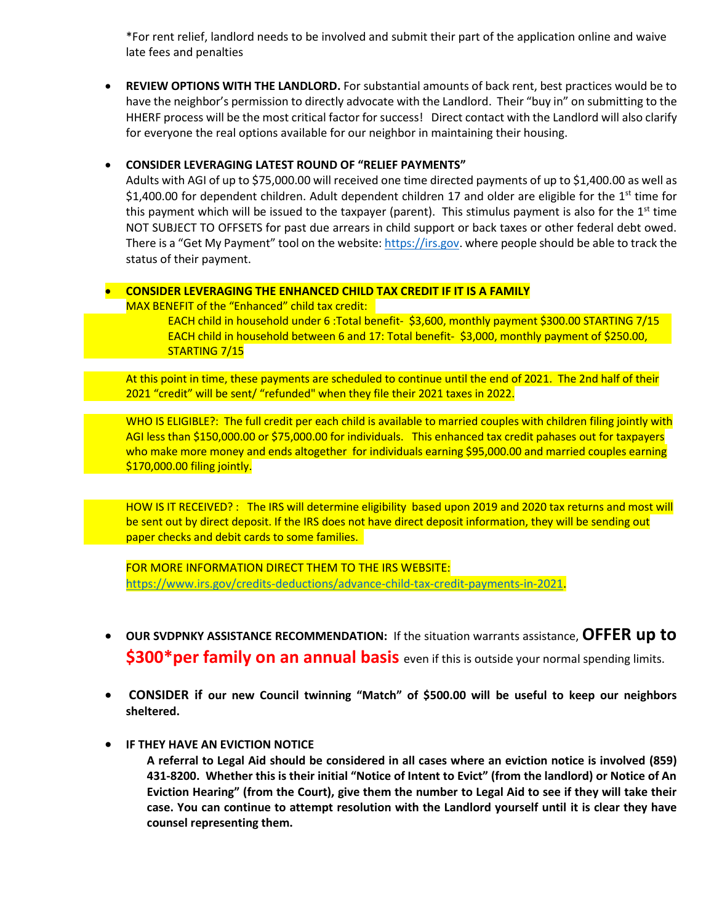\*For rent relief, landlord needs to be involved and submit their part of the application online and waive late fees and penalties

 **REVIEW OPTIONS WITH THE LANDLORD.** For substantial amounts of back rent, best practices would be to have the neighbor's permission to directly advocate with the Landlord. Their "buy in" on submitting to the HHERF process will be the most critical factor for success! Direct contact with the Landlord will also clarify for everyone the real options available for our neighbor in maintaining their housing.

### **CONSIDER LEVERAGING LATEST ROUND OF "RELIEF PAYMENTS"**

Adults with AGI of up to \$75,000.00 will received one time directed payments of up to \$1,400.00 as well as \$1,400.00 for dependent children. Adult dependent children 17 and older are eligible for the 1<sup>st</sup> time for this payment which will be issued to the taxpayer (parent). This stimulus payment is also for the  $1<sup>st</sup>$  time NOT SUBJECT TO OFFSETS for past due arrears in child support or back taxes or other federal debt owed. There is a "Get My Payment" tool on the website: [https://irs.gov.](https://irs.gov/) where people should be able to track the status of their payment.

### **CONSIDER LEVERAGING THE ENHANCED CHILD TAX CREDIT IF IT IS A FAMILY**

MAX BENEFIT of the "Enhanced" child tax credit:

EACH child in household under 6 :Total benefit- \$3,600, monthly payment \$300.00 STARTING 7/15 EACH child in household between 6 and 17: Total benefit- \$3,000, monthly payment of \$250.00, STARTING 7/15

At this point in time, these payments are scheduled to continue until the end of 2021. The 2nd half of their 2021 "credit" will be sent/ "refunded" when they file their 2021 taxes in 2022.

WHO IS ELIGIBLE?: The full credit per each child is available to married couples with children filing jointly with AGI less than \$150,000.00 or \$75,000.00 for individuals. This enhanced tax credit pahases out for taxpayers who make more money and ends altogether for individuals earning \$95,000.00 and married couples earning \$170,000.00 filing jointly.

HOW IS IT RECEIVED? : The IRS will determine eligibility based upon 2019 and 2020 tax returns and most will be sent out by direct deposit. If the IRS does not have direct deposit information, they will be sending out paper checks and debit cards to some families.

FOR MORE INFORMATION DIRECT THEM TO THE IRS WEBSITE: [https://www.irs.gov/credits-deductions/advance-child-tax-credit-payments-in-2021.](https://www.irs.gov/credits-deductions/advance-child-tax-credit-payments-in-2021)

- **OUR SVDPNKY ASSISTANCE RECOMMENDATION:** If the situation warrants assistance, **OFFER up to \$300\*per family on an annual basis** even if this is outside your normal spending limits.
- **CONSIDER if our new Council twinning "Match" of \$500.00 will be useful to keep our neighbors sheltered.**
- **IF THEY HAVE AN EVICTION NOTICE**

**A referral to Legal Aid should be considered in all cases where an eviction notice is involved (859) 431-8200. Whether this is their initial "Notice of Intent to Evict" (from the landlord) or Notice of An Eviction Hearing" (from the Court), give them the number to Legal Aid to see if they will take their case. You can continue to attempt resolution with the Landlord yourself until it is clear they have counsel representing them.**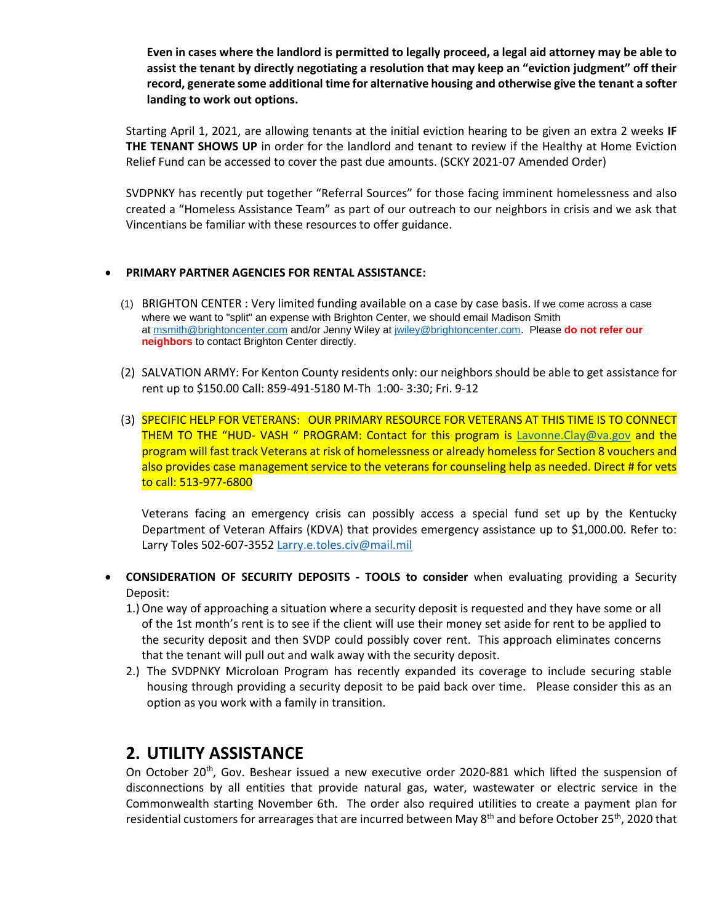**Even in cases where the landlord is permitted to legally proceed, a legal aid attorney may be able to assist the tenant by directly negotiating a resolution that may keep an "eviction judgment" off their record, generate some additional time for alternative housing and otherwise give the tenant a softer landing to work out options.**

Starting April 1, 2021, are allowing tenants at the initial eviction hearing to be given an extra 2 weeks **IF THE TENANT SHOWS UP** in order for the landlord and tenant to review if the Healthy at Home Eviction Relief Fund can be accessed to cover the past due amounts. (SCKY 2021-07 Amended Order)

SVDPNKY has recently put together "Referral Sources" for those facing imminent homelessness and also created a "Homeless Assistance Team" as part of our outreach to our neighbors in crisis and we ask that Vincentians be familiar with these resources to offer guidance.

#### **PRIMARY PARTNER AGENCIES FOR RENTAL ASSISTANCE:**

- (1) BRIGHTON CENTER : Very limited funding available on a case by case basis. If we come across a case where we want to "split" an expense with Brighton Center, we should email Madison Smith at [msmith@brightoncenter.com](mailto:msmith@brightoncenter.com) and/or Jenny Wiley at [jwiley@brightoncenter.com.](mailto:jwiley@brightoncenter.com) Please **do not refer our neighbors** to contact Brighton Center directly.
- (2) SALVATION ARMY: For Kenton County residents only: our neighbors should be able to get assistance for rent up to \$150.00 Call: 859-491-5180 M-Th 1:00- 3:30; Fri. 9-12
- (3) SPECIFIC HELP FOR VETERANS: OUR PRIMARY RESOURCE FOR VETERANS AT THIS TIME IS TO CONNECT THEM TO THE "HUD- VASH " PROGRAM: Contact for this program is [Lavonne.Clay@va.gov](mailto:Lavonne.Clay@va.gov) and the program will fast track Veterans at risk of homelessness or already homeless for Section 8 vouchers and also provides case management service to the veterans for counseling help as needed. Direct # for vets to call: 513-977-6800

Veterans facing an emergency crisis can possibly access a special fund set up by the Kentucky Department of Veteran Affairs (KDVA) that provides emergency assistance up to \$1,000.00. Refer to: Larry Toles 502-607-355[2 Larry.e.toles.civ@mail.mil](mailto:Larry.e.toles.civ@mail.mil)

- **CONSIDERATION OF SECURITY DEPOSITS - TOOLS to consider** when evaluating providing a Security Deposit:
	- 1.)One way of approaching a situation where a security deposit is requested and they have some or all of the 1st month's rent is to see if the client will use their money set aside for rent to be applied to the security deposit and then SVDP could possibly cover rent. This approach eliminates concerns that the tenant will pull out and walk away with the security deposit.
	- 2.) The SVDPNKY Microloan Program has recently expanded its coverage to include securing stable housing through providing a security deposit to be paid back over time. Please consider this as an option as you work with a family in transition.

## **2. UTILITY ASSISTANCE**

On October 20<sup>th</sup>, Gov. Beshear issued a new executive order 2020-881 which lifted the suspension of disconnections by all entities that provide natural gas, water, wastewater or electric service in the Commonwealth starting November 6th. The order also required utilities to create a payment plan for residential customers for arrearages that are incurred between May 8<sup>th</sup> and before October 25<sup>th</sup>, 2020 that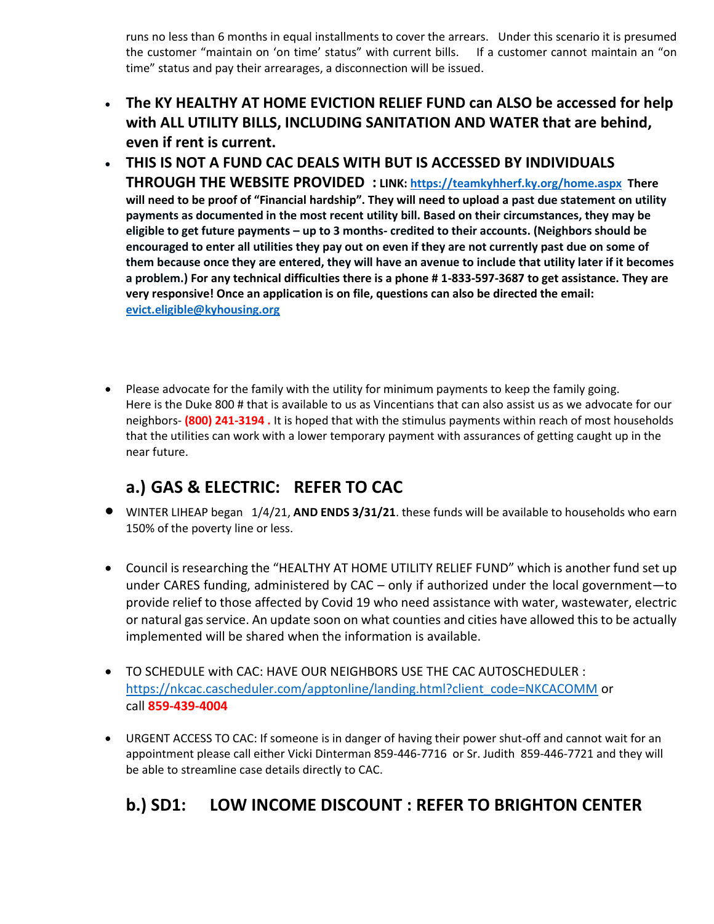runs no less than 6 months in equal installments to cover the arrears. Under this scenario it is presumed the customer "maintain on 'on time' status" with current bills. If a customer cannot maintain an "on time" status and pay their arrearages, a disconnection will be issued.

- **The KY HEALTHY AT HOME EVICTION RELIEF FUND can ALSO be accessed for help with ALL UTILITY BILLS, INCLUDING SANITATION AND WATER that are behind, even if rent is current.**
- **THIS IS NOT A FUND CAC DEALS WITH BUT IS ACCESSED BY INDIVIDUALS THROUGH THE WEBSITE PROVIDED : LINK:<https://teamkyhherf.ky.org/home.aspx>There will need to be proof of "Financial hardship". They will need to upload a past due statement on utility payments as documented in the most recent utility bill. Based on their circumstances, they may be eligible to get future payments – up to 3 months- credited to their accounts. (Neighbors should be encouraged to enter all utilities they pay out on even if they are not currently past due on some of them because once they are entered, they will have an avenue to include that utility later if it becomes a problem.) For any technical difficulties there is a phone # 1-833-597-3687 to get assistance. They are very responsive! Once an application is on file, questions can also be directed the email: [evict.eligible@kyhousing.org](mailto:evict.eligible@kyhousing.org)**
- Please advocate for the family with the utility for minimum payments to keep the family going. Here is the Duke 800 # that is available to us as Vincentians that can also assist us as we advocate for our neighbors- **(800) 241-3194 .** It is hoped that with the stimulus payments within reach of most households that the utilities can work with a lower temporary payment with assurances of getting caught up in the near future.

# **a.) GAS & ELECTRIC: REFER TO CAC**

- WINTER LIHEAP began 1/4/21, **AND ENDS 3/31/21**. these funds will be available to households who earn 150% of the poverty line or less.
- Council is researching the "HEALTHY AT HOME UTILITY RELIEF FUND" which is another fund set up under CARES funding, administered by CAC – only if authorized under the local government—to provide relief to those affected by Covid 19 who need assistance with water, wastewater, electric or natural gas service. An update soon on what counties and cities have allowed this to be actually implemented will be shared when the information is available.
- TO SCHEDULE with CAC: HAVE OUR NEIGHBORS USE THE CAC AUTOSCHEDULER : [https://nkcac.cascheduler.com/apptonline/landing.html?client\\_code=NKCACOMM](https://nkcac.cascheduler.com/apptonline/landing.html?client_code=NKCACOMM) or call **859-439-4004**
- URGENT ACCESS TO CAC: If someone is in danger of having their power shut-off and cannot wait for an appointment please call either Vicki Dinterman 859-446-7716 or Sr. Judith 859-446-7721 and they will be able to streamline case details directly to CAC.

# **b.) SD1: LOW INCOME DISCOUNT : REFER TO BRIGHTON CENTER**